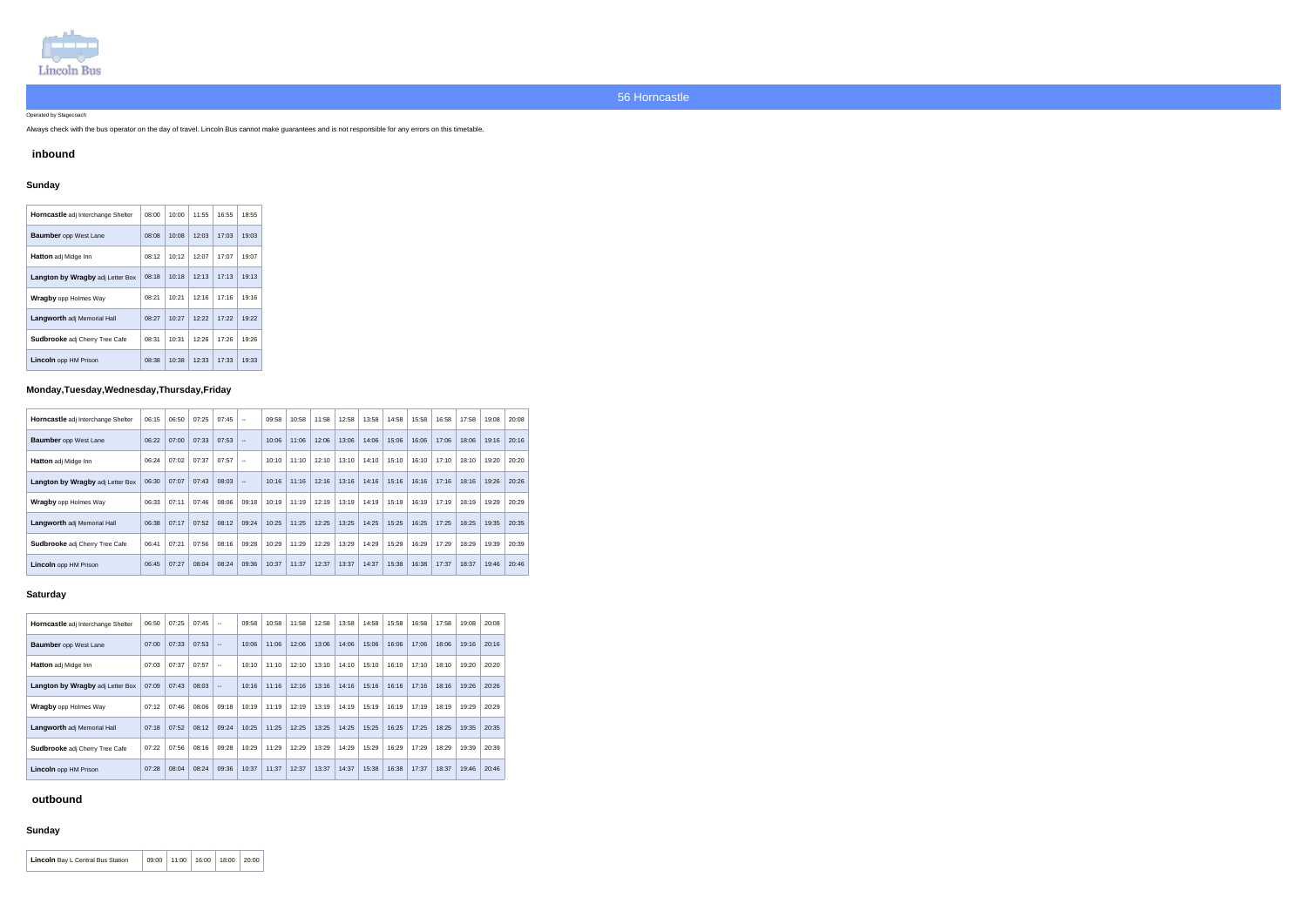

#### Operated by Stagecoach

Always check with the bus operator on the day of travel. Lincoln Bus cannot make guarantees and is not responsible for any errors on this timetable.

### **inbound**

## **Sunday**

| <b>Horncastle</b> adj Interchange Shelter | 08:00 | 10:00 | 11:55 | 16:55 | 18:55 |
|-------------------------------------------|-------|-------|-------|-------|-------|
| <b>Baumber</b> opp West Lane              | 08:08 | 10:08 | 12:03 | 17:03 | 19:03 |
| <b>Hatton</b> adj Midge Inn               | 08:12 | 10:12 | 12:07 | 17:07 | 19:07 |
| Langton by Wragby adj Letter Box          | 08:18 | 10:18 | 12:13 | 17:13 | 19:13 |
| <b>Wragby</b> opp Holmes Way              | 08:21 | 10:21 | 12:16 | 17:16 | 19:16 |
| <b>Langworth</b> adj Memorial Hall        | 08:27 | 10:27 | 12:22 | 17:22 | 19:22 |
| <b>Sudbrooke</b> adj Cherry Tree Cafe     | 08:31 | 10:31 | 12:26 | 17:26 | 19:26 |
| <b>Lincoln</b> opp HM Prison              | 08:38 | 10:38 | 12:33 | 17.33 | 19:33 |

## **Monday,Tuesday,Wednesday,Thursday,Friday**

| Horncastle adj Interchange Shelter    | 06:15 | 06:50 | 07:25 | 07:45 | $\sim$ $\sim$ | 09:58 | 10:58 | 11:58 | 12:58 | 13:58 | 14:58 | 15:58 | 16:58 | 17:58 | 19:08 | 20:08 |
|---------------------------------------|-------|-------|-------|-------|---------------|-------|-------|-------|-------|-------|-------|-------|-------|-------|-------|-------|
| <b>Baumber</b> opp West Lane          | 06:22 | 07:00 | 07:33 | 07:53 | $\sim$ $\sim$ | 10:06 | 11:06 | 12:06 | 13:06 | 14:06 | 15:06 | 16:06 | 17:06 | 18:06 | 19:16 | 20:16 |
| <b>Hatton</b> adj Midge Inn           | 06:24 | 07:02 | 07:37 | 07:57 | $\sim$ $\sim$ | 10:10 | 11:10 | 12:10 | 13:10 | 14:10 | 15:10 | 16:10 | 17:10 | 18:10 | 19:20 | 20:20 |
| Langton by Wragby adj Letter Box      | 06:30 | 07:07 | 07:43 | 08:03 | $\sim$        | 10:16 | 11:16 | 12:16 | 13:16 | 14:16 | 15:16 | 16:16 | 17:16 | 18:16 | 19:26 | 20:26 |
| <b>Wragby opp Holmes Way</b>          | 06:33 | 07:11 | 07:46 | 08:06 | 09:18         | 10:19 | 11:19 | 12:19 | 13:19 | 14:19 | 15:19 | 16:19 | 17:19 | 18:19 | 19:29 | 20:29 |
| <b>Langworth</b> adj Memorial Hall    | 06:38 | 07:17 | 07:52 | 08:12 | 09:24         | 10:25 | 11:25 | 12:25 | 13:25 | 14:25 | 15:25 | 16:25 | 17:25 | 18:25 | 19:35 | 20:35 |
| <b>Sudbrooke</b> adj Cherry Tree Cafe | 06:41 | 07:21 | 07:56 | 08:16 | 09:28         | 10:29 | 11:29 | 12:29 | 13:29 | 14:29 | 15:29 | 16:29 | 17:29 | 18:29 | 19:39 | 20:39 |
| Lincoln opp HM Prison                 | 06:45 | 07:27 | 08:04 | 08:24 | 09:36         | 10:37 | 11:37 | 12:37 | 13:37 | 14:37 | 15:38 | 16:38 | 17:37 | 18:37 | 19:46 | 20:46 |

### **Saturday**

| Horncastle adj Interchange Shelter    | 06:50 | 07:25 | 07:45 | $\mathbf{u}$             | 09:58 | 10:58 | 11:58 | 12:58 | 13:58 | 14:58 | 15:58 | 16:58 | 17:58 | 19:08 | 20:08 |
|---------------------------------------|-------|-------|-------|--------------------------|-------|-------|-------|-------|-------|-------|-------|-------|-------|-------|-------|
| <b>Baumber</b> opp West Lane          | 07:00 | 07:33 | 07:53 | $\sim$                   | 10:06 | 11:06 | 12:06 | 13:06 | 14:06 | 15:06 | 16:06 | 17:06 | 18:06 | 19:16 | 20:16 |
| <b>Hatton</b> adj Midge Inn           | 07:03 | 07:37 | 07:57 | $\sim$ $\sim$            | 10:10 | 11:10 | 12:10 | 13:10 | 14:10 | 15:10 | 16:10 | 17:10 | 18:10 | 19:20 | 20:20 |
| Langton by Wragby adj Letter Box      | 07:09 | 07:43 | 08:03 | $\overline{\phantom{a}}$ | 10:16 | 11:16 | 12:16 | 13:16 | 14:16 | 15:16 | 16:16 | 17:16 | 18:16 | 19:26 | 20:26 |
| <b>Wragby</b> opp Holmes Way          | 07:12 | 07:46 | 08:06 | 09:18                    | 10:19 | 11:19 | 12:19 | 13:19 | 14:19 | 15:19 | 16:19 | 17:19 | 18:19 | 19:29 | 20:29 |
| Langworth adj Memorial Hall           | 07:18 | 07:52 | 08:12 | 09:24                    | 10:25 | 11:25 | 12:25 | 13:25 | 14:25 | 15:25 | 16:25 | 17:25 | 18:25 | 19:35 | 20:35 |
| <b>Sudbrooke</b> adj Cherry Tree Cafe | 07:22 | 07:56 | 08:16 | 09:28                    | 10:29 | 11:29 | 12:29 | 13:29 | 14:29 | 15:29 | 16:29 | 17:29 | 18:29 | 19:39 | 20:39 |
| <b>Lincoln</b> opp HM Prison          | 07:28 | 08:04 | 08:24 | 09.36                    | 10:37 | 11:37 | 12:37 | 13:37 | 14:37 | 15:38 | 16:38 | 17:37 | 18:37 | 19:46 | 20:46 |

## **outbound**

## **Sunday**

| <b>Lincoln</b> Bay L Central Bus Station | 09:00 | $\vert$ 11:00   16:00   18:00 | 20:00 |  |
|------------------------------------------|-------|-------------------------------|-------|--|